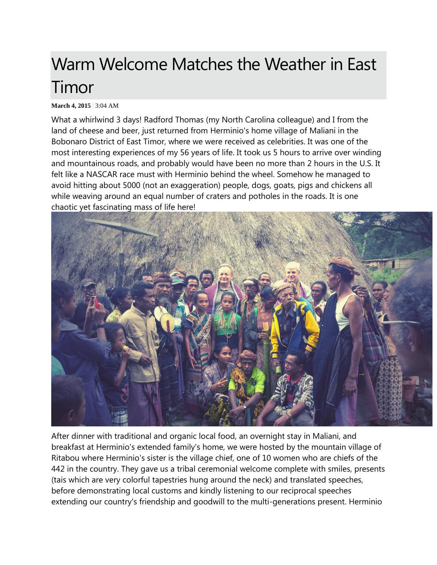# Warm Welcome Matches the Weather in East Timor

#### **March 4, 2015** | 3:04 AM

What a whirlwind 3 days! Radford Thomas (my North Carolina colleague) and I from the land of cheese and beer, just returned from Herminio's home village of Maliani in the Bobonaro District of East Timor, where we were received as celebrities. It was one of the most interesting experiences of my 56 years of life. It took us 5 hours to arrive over winding and mountainous roads, and probably would have been no more than 2 hours in the U.S. It felt like a NASCAR race must with Herminio behind the wheel. Somehow he managed to avoid hitting about 5000 (not an exaggeration) people, dogs, goats, pigs and chickens all while weaving around an equal number of craters and potholes in the roads. It is one chaotic yet fascinating mass of life here!



After dinner with traditional and organic local food, an overnight stay in Maliani, and breakfast at Herminio's extended family's home, we were hosted by the mountain village of Ritabou where Herminio's sister is the village chief, one of 10 women who are chiefs of the 442 in the country. They gave us a tribal ceremonial welcome complete with smiles, presents (tais which are very colorful tapestries hung around the neck) and translated speeches, before demonstrating local customs and kindly listening to our reciprocal speeches extending our country's friendship and goodwill to the multi-generations present. Herminio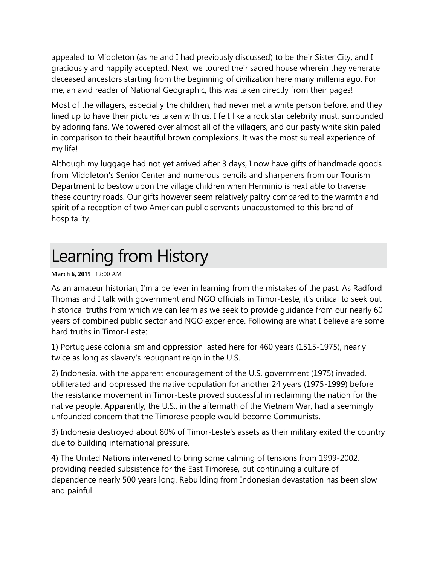appealed to Middleton (as he and I had previously discussed) to be their Sister City, and I graciously and happily accepted. Next, we toured their sacred house wherein they venerate deceased ancestors starting from the beginning of civilization here many millenia ago. For me, an avid reader of National Geographic, this was taken directly from their pages!

Most of the villagers, especially the children, had never met a white person before, and they lined up to have their pictures taken with us. I felt like a rock star celebrity must, surrounded by adoring fans. We towered over almost all of the villagers, and our pasty white skin paled in comparison to their beautiful brown complexions. It was the most surreal experience of my life!

Although my luggage had not yet arrived after 3 days, I now have gifts of handmade goods from Middleton's Senior Center and numerous pencils and sharpeners from our Tourism Department to bestow upon the village children when Herminio is next able to traverse these country roads. Our gifts however seem relatively paltry compared to the warmth and spirit of a reception of two American public servants unaccustomed to this brand of hospitality.

### Learning from History

#### **March 6, 2015** | 12:00 AM

As an amateur historian, I'm a believer in learning from the mistakes of the past. As Radford Thomas and I talk with government and NGO officials in Timor-Leste, it's critical to seek out historical truths from which we can learn as we seek to provide guidance from our nearly 60 years of combined public sector and NGO experience. Following are what I believe are some hard truths in Timor-Leste:

1) Portuguese colonialism and oppression lasted here for 460 years (1515-1975), nearly twice as long as slavery's repugnant reign in the U.S.

2) Indonesia, with the apparent encouragement of the U.S. government (1975) invaded, obliterated and oppressed the native population for another 24 years (1975-1999) before the resistance movement in Timor-Leste proved successful in reclaiming the nation for the native people. Apparently, the U.S., in the aftermath of the Vietnam War, had a seemingly unfounded concern that the Timorese people would become Communists.

3) Indonesia destroyed about 80% of Timor-Leste's assets as their military exited the country due to building international pressure.

4) The United Nations intervened to bring some calming of tensions from 1999-2002, providing needed subsistence for the East Timorese, but continuing a culture of dependence nearly 500 years long. Rebuilding from Indonesian devastation has been slow and painful.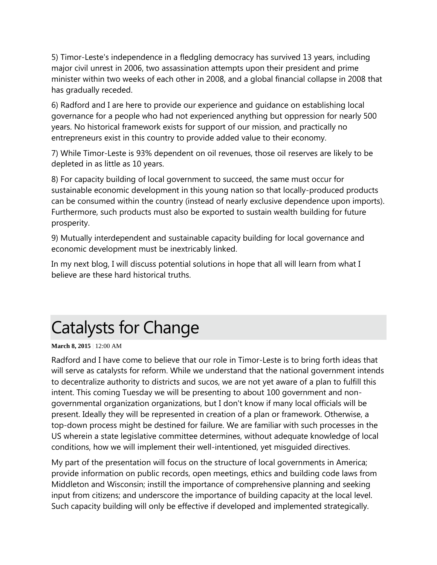5) Timor-Leste's independence in a fledgling democracy has survived 13 years, including major civil unrest in 2006, two assassination attempts upon their president and prime minister within two weeks of each other in 2008, and a global financial collapse in 2008 that has gradually receded.

6) Radford and I are here to provide our experience and guidance on establishing local governance for a people who had not experienced anything but oppression for nearly 500 years. No historical framework exists for support of our mission, and practically no entrepreneurs exist in this country to provide added value to their economy.

7) While Timor-Leste is 93% dependent on oil revenues, those oil reserves are likely to be depleted in as little as 10 years.

8) For capacity building of local government to succeed, the same must occur for sustainable economic development in this young nation so that locally-produced products can be consumed within the country (instead of nearly exclusive dependence upon imports). Furthermore, such products must also be exported to sustain wealth building for future prosperity.

9) Mutually interdependent and sustainable capacity building for local governance and economic development must be inextricably linked.

In my next blog, I will discuss potential solutions in hope that all will learn from what I believe are these hard historical truths.

## Catalysts for Change

**March 8, 2015** | 12:00 AM

Radford and I have come to believe that our role in Timor-Leste is to bring forth ideas that will serve as catalysts for reform. While we understand that the national government intends to decentralize authority to districts and sucos, we are not yet aware of a plan to fulfill this intent. This coming Tuesday we will be presenting to about 100 government and nongovernmental organization organizations, but I don't know if many local officials will be present. Ideally they will be represented in creation of a plan or framework. Otherwise, a top-down process might be destined for failure. We are familiar with such processes in the US wherein a state legislative committee determines, without adequate knowledge of local conditions, how we will implement their well-intentioned, yet misguided directives.

My part of the presentation will focus on the structure of local governments in America; provide information on public records, open meetings, ethics and building code laws from Middleton and Wisconsin; instill the importance of comprehensive planning and seeking input from citizens; and underscore the importance of building capacity at the local level. Such capacity building will only be effective if developed and implemented strategically.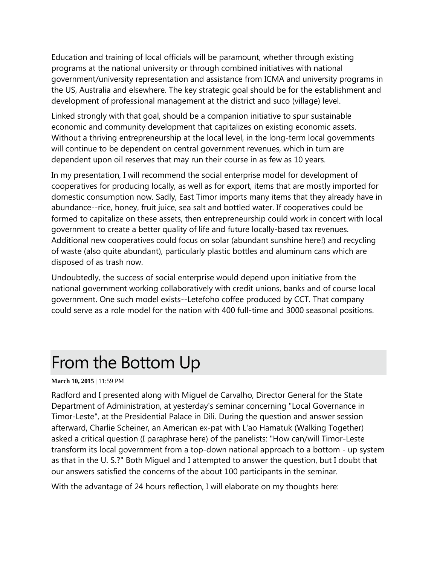Education and training of local officials will be paramount, whether through existing programs at the national university or through combined initiatives with national government/university representation and assistance from ICMA and university programs in the US, Australia and elsewhere. The key strategic goal should be for the establishment and development of professional management at the district and suco (village) level.

Linked strongly with that goal, should be a companion initiative to spur sustainable economic and community development that capitalizes on existing economic assets. Without a thriving entrepreneurship at the local level, in the long-term local governments will continue to be dependent on central government revenues, which in turn are dependent upon oil reserves that may run their course in as few as 10 years.

In my presentation, I will recommend the social enterprise model for development of cooperatives for producing locally, as well as for export, items that are mostly imported for domestic consumption now. Sadly, East Timor imports many items that they already have in abundance--rice, honey, fruit juice, sea salt and bottled water. If cooperatives could be formed to capitalize on these assets, then entrepreneurship could work in concert with local government to create a better quality of life and future locally-based tax revenues. Additional new cooperatives could focus on solar (abundant sunshine here!) and recycling of waste (also quite abundant), particularly plastic bottles and aluminum cans which are disposed of as trash now.

Undoubtedly, the success of social enterprise would depend upon initiative from the national government working collaboratively with credit unions, banks and of course local government. One such model exists--Letefoho coffee produced by CCT. That company could serve as a role model for the nation with 400 full-time and 3000 seasonal positions.

### From the Bottom Up

#### **March 10, 2015** | 11:59 PM

Radford and I presented along with Miguel de Carvalho, Director General for the State Department of Administration, at yesterday's seminar concerning "Local Governance in Timor-Leste", at the Presidential Palace in Dili. During the question and answer session afterward, Charlie Scheiner, an American ex-pat with L'ao Hamatuk (Walking Together) asked a critical question (I paraphrase here) of the panelists: "How can/will Timor-Leste transform its local government from a top-down national approach to a bottom - up system as that in the U. S.?" Both Miguel and I attempted to answer the question, but I doubt that our answers satisfied the concerns of the about 100 participants in the seminar.

With the advantage of 24 hours reflection, I will elaborate on my thoughts here: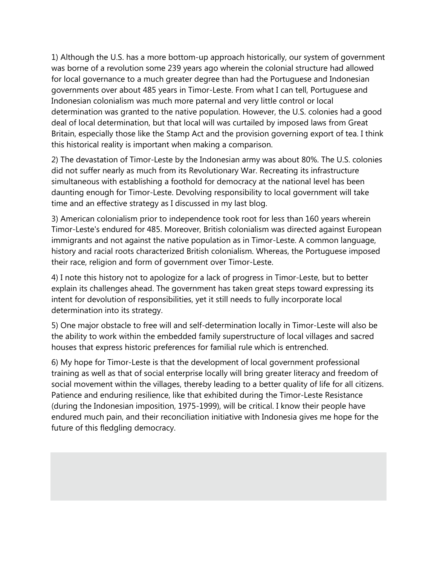1) Although the U.S. has a more bottom-up approach historically, our system of government was borne of a revolution some 239 years ago wherein the colonial structure had allowed for local governance to a much greater degree than had the Portuguese and Indonesian governments over about 485 years in Timor-Leste. From what I can tell, Portuguese and Indonesian colonialism was much more paternal and very little control or local determination was granted to the native population. However, the U.S. colonies had a good deal of local determination, but that local will was curtailed by imposed laws from Great Britain, especially those like the Stamp Act and the provision governing export of tea. I think this historical reality is important when making a comparison.

2) The devastation of Timor-Leste by the Indonesian army was about 80%. The U.S. colonies did not suffer nearly as much from its Revolutionary War. Recreating its infrastructure simultaneous with establishing a foothold for democracy at the national level has been daunting enough for Timor-Leste. Devolving responsibility to local government will take time and an effective strategy as I discussed in my last blog.

3) American colonialism prior to independence took root for less than 160 years wherein Timor-Leste's endured for 485. Moreover, British colonialism was directed against European immigrants and not against the native population as in Timor-Leste. A common language, history and racial roots characterized British colonialism. Whereas, the Portuguese imposed their race, religion and form of government over Timor-Leste.

4) I note this history not to apologize for a lack of progress in Timor-Leste, but to better explain its challenges ahead. The government has taken great steps toward expressing its intent for devolution of responsibilities, yet it still needs to fully incorporate local determination into its strategy.

5) One major obstacle to free will and self-determination locally in Timor-Leste will also be the ability to work within the embedded family superstructure of local villages and sacred houses that express historic preferences for familial rule which is entrenched.

6) My hope for Timor-Leste is that the development of local government professional training as well as that of social enterprise locally will bring greater literacy and freedom of social movement within the villages, thereby leading to a better quality of life for all citizens. Patience and enduring resilience, like that exhibited during the Timor-Leste Resistance (during the Indonesian imposition, 1975-1999), will be critical. I know their people have endured much pain, and their reconciliation initiative with Indonesia gives me hope for the future of this fledgling democracy.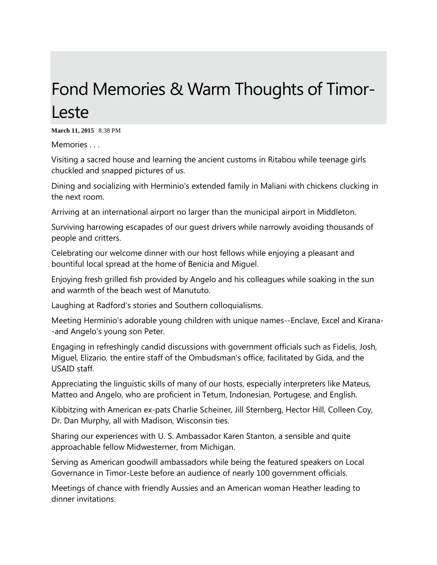### Fond Memories & Warm Thoughts of Timor-Leste

**March 11, 2015** | 8:38 PM

Memories . . .

Visiting a sacred house and learning the ancient customs in Ritabou while teenage girls chuckled and snapped pictures of us.

Dining and socializing with Herminio's extended family in Maliani with chickens clucking in the next room.

Arriving at an international airport no larger than the municipal airport in Middleton.

Surviving harrowing escapades of our guest drivers while narrowly avoiding thousands of people and critters.

Celebrating our welcome dinner with our host fellows while enjoying a pleasant and bountiful local spread at the home of Benicia and Miguel.

Enjoying fresh grilled fish provided by Angelo and his colleagues while soaking in the sun and warmth of the beach west of Manututo.

Laughing at Radford's stories and Southern colloquialisms.

Meeting Herminio's adorable young children with unique names--Enclave, Excel and Kirana- -and Angelo's young son Peter.

Engaging in refreshingly candid discussions with government officials such as Fidelis, Josh, Miguel, Elizario, the entire staff of the Ombudsman's office, facilitated by Gida, and the USAID staff.

Appreciating the linguistic skills of many of our hosts, especially interpreters like Mateus, Matteo and Angelo, who are proficient in Tetum, Indonesian, Portugese, and English.

Kibbitzing with American ex-pats Charlie Scheiner, Jill Sternberg, Hector Hill, Colleen Coy, Dr. Dan Murphy, all with Madison, Wisconsin ties.

Sharing our experiences with U. S. Ambassador Karen Stanton, a sensible and quite approachable fellow Midwesterner, from Michigan.

Serving as American goodwill ambassadors while being the featured speakers on Local Governance in Timor-Leste before an audience of nearly 100 government officials.

Meetings of chance with friendly Aussies and an American woman Heather leading to dinner invitations.